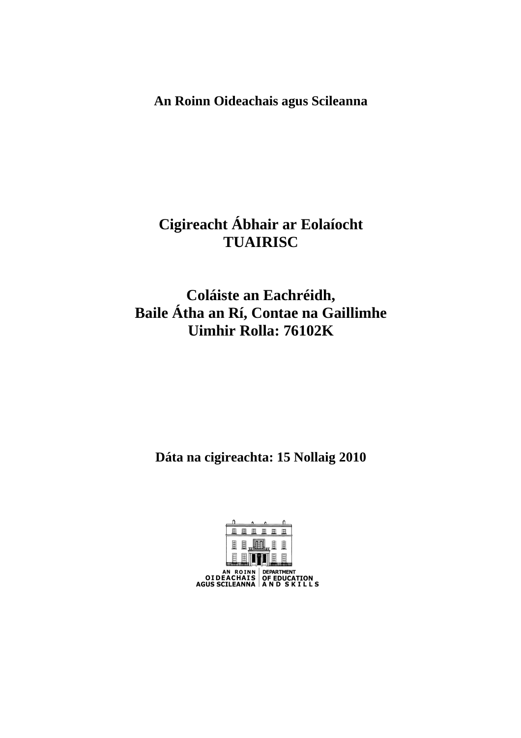**An Roinn Oideachais agus Scileanna** 

# **Cigireacht Ábhair ar Eolaíocht TUAIRISC**

# **Coláiste an Eachréidh, Baile Átha an Rí, Contae na Gaillimhe Uimhir Rolla: 76102K**

**Dáta na cigireachta: 15 Nollaig 2010** 

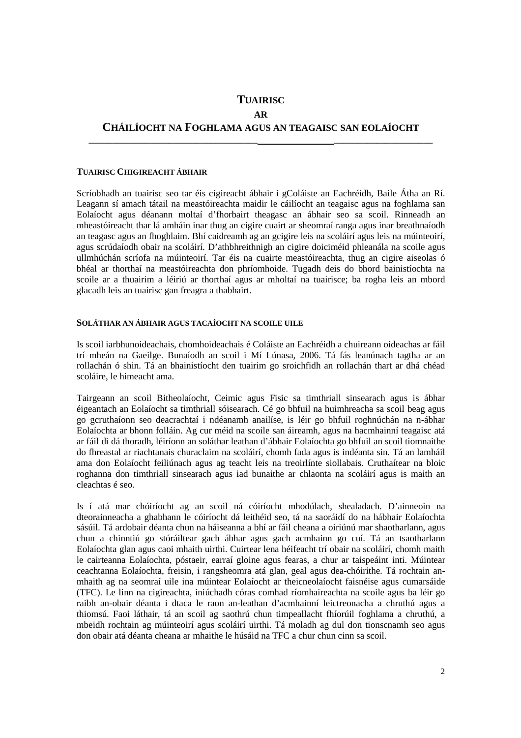## **TUAIRISC AR CHÁILÍOCHT NA FOGHLAMA AGUS AN TEAGAISC SAN EOLAÍOCHT**

**\_\_\_\_\_\_\_\_\_\_\_\_\_\_\_\_\_\_\_\_\_\_\_\_\_\_\_\_\_\_\_\_\_\_\_\_ \_\_\_\_\_\_\_\_\_\_\_\_\_\_\_\_\_\_\_\_\_** 

#### **TUAIRISC CHIGIREACHT ÁBHAIR**

Scríobhadh an tuairisc seo tar éis cigireacht ábhair i gColáiste an Eachréidh, Baile Átha an Rí. Leagann sí amach tátail na meastóireachta maidir le cáilíocht an teagaisc agus na foghlama san Eolaíocht agus déanann moltaí d'fhorbairt theagasc an ábhair seo sa scoil. Rinneadh an mheastóireacht thar lá amháin inar thug an cigire cuairt ar sheomraí ranga agus inar breathnaíodh an teagasc agus an fhoghlaim. Bhí caidreamh ag an gcigire leis na scoláirí agus leis na múinteoirí, agus scrúdaíodh obair na scoláirí. D'athbhreithnigh an cigire doiciméid phleanála na scoile agus ullmhúchán scríofa na múinteoirí. Tar éis na cuairte meastóireachta, thug an cigire aiseolas ó bhéal ar thorthaí na meastóireachta don phríomhoide. Tugadh deis do bhord bainistíochta na scoile ar a thuairim a léiriú ar thorthaí agus ar mholtaí na tuairisce; ba rogha leis an mbord glacadh leis an tuairisc gan freagra a thabhairt.

#### **SOLÁTHAR AN ÁBHAIR AGUS TACAÍOCHT NA SCOILE UILE**

Is scoil iarbhunoideachais, chomhoideachais é Coláiste an Eachréidh a chuireann oideachas ar fáil trí mheán na Gaeilge. Bunaíodh an scoil i Mí Lúnasa, 2006. Tá fás leanúnach tagtha ar an rollachán ó shin. Tá an bhainistíocht den tuairim go sroichfidh an rollachán thart ar dhá chéad scoláire, le himeacht ama.

Tairgeann an scoil Bitheolaíocht, Ceimic agus Fisic sa timthriall sinsearach agus is ábhar éigeantach an Eolaíocht sa timthriall sóisearach. Cé go bhfuil na huimhreacha sa scoil beag agus go gcruthaíonn seo deacrachtaí i ndéanamh anailíse, is léir go bhfuil roghnúchán na n-ábhar Eolaíochta ar bhonn folláin. Ag cur méid na scoile san áireamh, agus na hacmhainní teagaisc atá ar fáil di dá thoradh, léiríonn an soláthar leathan d'ábhair Eolaíochta go bhfuil an scoil tiomnaithe do fhreastal ar riachtanais churaclaim na scoláirí, chomh fada agus is indéanta sin. Tá an lamháil ama don Eolaíocht feiliúnach agus ag teacht leis na treoirlínte siollabais. Cruthaítear na bloic roghanna don timthriall sinsearach agus iad bunaithe ar chlaonta na scoláirí agus is maith an cleachtas é seo.

Is í atá mar chóiríocht ag an scoil ná cóiríocht mhodúlach, shealadach. D'ainneoin na dteorainneacha a ghabhann le cóiríocht dá leithéid seo, tá na saoráidí do na hábhair Eolaíochta sásúil. Tá ardobair déanta chun na háiseanna a bhí ar fáil cheana a oiriúnú mar shaotharlann, agus chun a chinntiú go stóráiltear gach ábhar agus gach acmhainn go cuí. Tá an tsaotharlann Eolaíochta glan agus caoi mhaith uirthi. Cuirtear lena héifeacht trí obair na scoláirí, chomh maith le cairteanna Eolaíochta, póstaeir, earraí gloine agus fearas, a chur ar taispeáint inti. Múintear ceachtanna Eolaíochta, freisin, i rangsheomra atá glan, geal agus dea-chóirithe. Tá rochtain anmhaith ag na seomraí uile ina múintear Eolaíocht ar theicneolaíocht faisnéise agus cumarsáide (TFC). Le linn na cigireachta, iniúchadh córas comhad ríomhaireachta na scoile agus ba léir go raibh an-obair déanta i dtaca le raon an-leathan d'acmhainní leictreonacha a chruthú agus a thiomsú. Faoi láthair, tá an scoil ag saothrú chun timpeallacht fhíorúil foghlama a chruthú, a mbeidh rochtain ag múinteoirí agus scoláirí uirthi. Tá moladh ag dul don tionscnamh seo agus don obair atá déanta cheana ar mhaithe le húsáid na TFC a chur chun cinn sa scoil.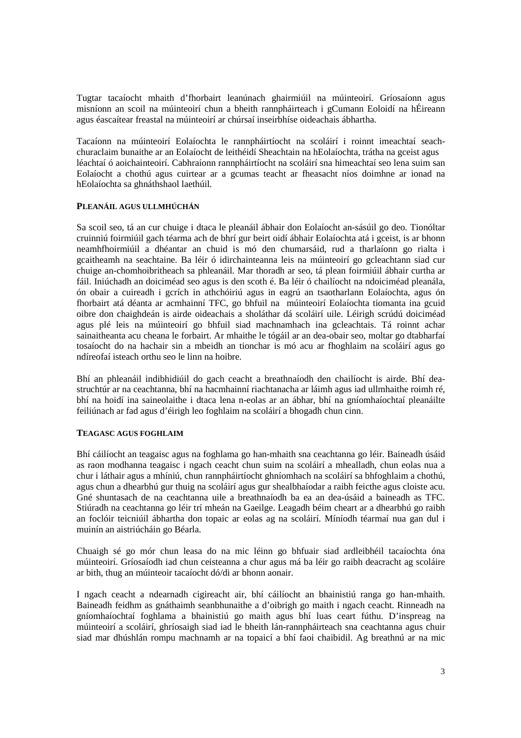Tugtar tacaíocht mhaith d'fhorbairt leanúnach ghairmiúil na múinteoirí. Gríosaíonn agus misníonn an scoil na múinteoirí chun a bheith rannpháirteach i gCumann Eoloidí na hÉireann agus éascaítear freastal na múinteoirí ar chúrsaí inseirbhíse oideachais ábhartha.

Tacaíonn na múinteoirí Eolaíochta le rannpháirtíocht na scoláirí i roinnt imeachtaí seachchuraclaim bunaithe ar an Eolaíocht de leithéidí Sheachtain na hEolaíochta, trátha na gceist agus léachtaí ó aoichainteoirí. Cabhraíonn rannpháirtíocht na scoláirí sna himeachtaí seo lena suim san Eolaíocht a chothú agus cuirtear ar a gcumas teacht ar fheasacht níos doimhne ar ionad na hEolaíochta sa ghnáthshaol laethúil.

#### **PLEANÁIL AGUS ULLMHÚCHÁN**

Sa scoil seo, tá an cur chuige i dtaca le pleanáil ábhair don Eolaíocht an-sásúil go deo. Tionóltar cruinniú foirmiúil gach téarma ach de bhrí gur beirt oidí ábhair Eolaíochta atá i gceist, is ar bhonn neamhfhoirmiúil a dhéantar an chuid is mó den chumarsáid, rud a tharlaíonn go rialta i gcaitheamh na seachtaine. Ba léir ó idirchainteanna leis na múinteoirí go gcleachtann siad cur chuige an-chomhoibritheach sa phleanáil. Mar thoradh ar seo, tá plean foirmiúil ábhair curtha ar fáil. Iniúchadh an doiciméad seo agus is den scoth é. Ba léir ó chailíocht na ndoiciméad pleanála, ón obair a cuireadh i gcrích in athchóiriú agus in eagrú an tsaotharlann Eolaíochta, agus ón fhorbairt atá déanta ar acmhainní TFC, go bhfuil na múinteoirí Eolaíochta tiomanta ina gcuid oibre don chaighdeán is airde oideachais a sholáthar dá scoláirí uile. Léirigh scrúdú doiciméad agus plé leis na múinteoirí go bhfuil siad machnamhach ina gcleachtais. Tá roinnt achar sainaitheanta acu cheana le forbairt. Ar mhaithe le tógáil ar an dea-obair seo, moltar go dtabharfaí tosaíocht do na hachair sin a mbeidh an tionchar is mó acu ar fhoghlaim na scoláirí agus go ndíreofaí isteach orthu seo le linn na hoibre.

Bhí an phleanáil indibhidiúil do gach ceacht a breathnaíodh den chailíocht is airde. Bhí deastruchtúr ar na ceachtanna, bhí na hacmhainní riachtanacha ar láimh agus iad ullmhaithe roimh ré, bhí na hoidí ina saineolaithe i dtaca lena n-eolas ar an ábhar, bhí na gníomhaíochtaí pleanáilte feiliúnach ar fad agus d'éirigh leo foghlaim na scoláirí a bhogadh chun cinn.

#### **TEAGASC AGUS FOGHLAIM**

Bhí cáilíocht an teagaisc agus na foghlama go han-mhaith sna ceachtanna go léir. Baineadh úsáid as raon modhanna teagaisc i ngach ceacht chun suim na scoláirí a mhealladh, chun eolas nua a chur i láthair agus a mhíniú, chun rannpháirtíocht ghníomhach na scoláirí sa bhfoghlaim a chothú, agus chun a dhearbhú gur thuig na scoláirí agus gur shealbhaíodar a raibh feicthe agus cloiste acu. Gné shuntasach de na ceachtanna uile a breathnaíodh ba ea an dea-úsáid a baineadh as TFC. Stiúradh na ceachtanna go léir trí mheán na Gaeilge. Leagadh béim cheart ar a dhearbhú go raibh an foclóir teicniúil ábhartha don topaic ar eolas ag na scoláirí. Míníodh téarmaí nua gan dul i muinín an aistriúcháin go Béarla.

Chuaigh sé go mór chun leasa do na mic léinn go bhfuair siad ardleibhéil tacaíochta óna múinteoirí. Gríosaíodh iad chun ceisteanna a chur agus má ba léir go raibh deacracht ag scoláire ar bith, thug an múinteoir tacaíocht dó/di ar bhonn aonair.

I ngach ceacht a ndearnadh cigireacht air, bhí cáilíocht an bhainistiú ranga go han-mhaith. Baineadh feidhm as gnáthaimh seanbhunaithe a d'oibrigh go maith i ngach ceacht. Rinneadh na gníomhaíochtaí foghlama a bhainistiú go maith agus bhí luas ceart fúthu. D'inspreag na múinteoirí a scoláirí, ghríosaigh siad iad le bheith lán-rannpháirteach sna ceachtanna agus chuir siad mar dhúshlán rompu machnamh ar na topaicí a bhí faoi chaibidil. Ag breathnú ar na mic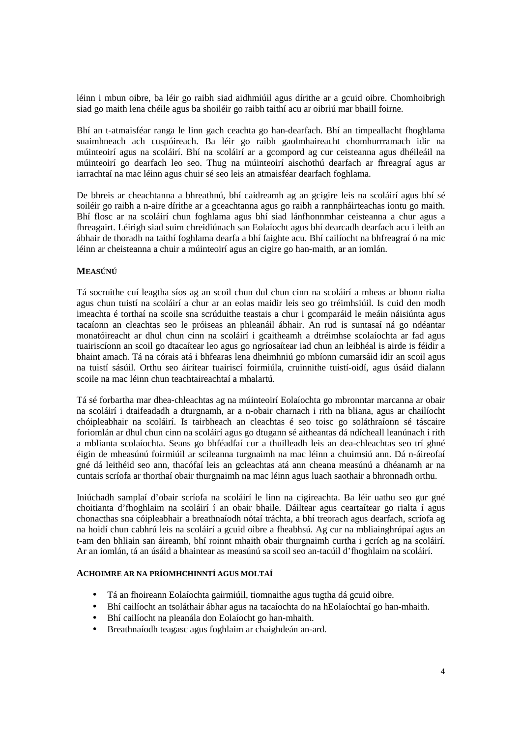léinn i mbun oibre, ba léir go raibh siad aidhmiúil agus dírithe ar a gcuid oibre. Chomhoibrigh siad go maith lena chéile agus ba shoiléir go raibh taithí acu ar oibriú mar bhaill foirne.

Bhí an t-atmaisféar ranga le linn gach ceachta go han-dearfach. Bhí an timpeallacht fhoghlama suaimhneach ach cuspóireach. Ba léir go raibh gaolmhaireacht chomhurrramach idir na múinteoirí agus na scoláirí. Bhí na scoláirí ar a gcompord ag cur ceisteanna agus dhéileáil na múinteoirí go dearfach leo seo. Thug na múinteoirí aischothú dearfach ar fhreagraí agus ar iarrachtaí na mac léinn agus chuir sé seo leis an atmaisféar dearfach foghlama.

De bhreis ar cheachtanna a bhreathnú, bhí caidreamh ag an gcigire leis na scoláirí agus bhí sé soiléir go raibh a n-aire dírithe ar a gceachtanna agus go raibh a rannpháirteachas iontu go maith. Bhí flosc ar na scoláirí chun foghlama agus bhí siad lánfhonnmhar ceisteanna a chur agus a fhreagairt. Léirigh siad suim chreidiúnach san Eolaíocht agus bhí dearcadh dearfach acu i leith an ábhair de thoradh na taithí foghlama dearfa a bhí faighte acu. Bhí cailíocht na bhfreagraí ó na mic léinn ar cheisteanna a chuir a múinteoirí agus an cigire go han-maith, ar an iomlán.

### **MEASÚNÚ**

Tá socruithe cuí leagtha síos ag an scoil chun dul chun cinn na scoláirí a mheas ar bhonn rialta agus chun tuistí na scoláirí a chur ar an eolas maidir leis seo go tréimhsiúil. Is cuid den modh imeachta é torthaí na scoile sna scrúduithe teastais a chur i gcomparáid le meáin náisiúnta agus tacaíonn an cleachtas seo le próiseas an phleanáil ábhair. An rud is suntasaí ná go ndéantar monatóireacht ar dhul chun cinn na scoláirí i gcaitheamh a dtréimhse scolaíochta ar fad agus tuairiscíonn an scoil go dtacaítear leo agus go ngríosaítear iad chun an leibhéal is airde is féidir a bhaint amach. Tá na córais atá i bhfearas lena dheimhniú go mbíonn cumarsáid idir an scoil agus na tuistí sásúil. Orthu seo áirítear tuairiscí foirmiúla, cruinnithe tuistí-oidí, agus úsáid dialann scoile na mac léinn chun teachtaireachtaí a mhalartú.

Tá sé forbartha mar dhea-chleachtas ag na múinteoirí Eolaíochta go mbronntar marcanna ar obair na scoláirí i dtaifeadadh a dturgnamh, ar a n-obair charnach i rith na bliana, agus ar chailíocht chóipleabhair na scoláirí. Is tairbheach an cleachtas é seo toisc go soláthraíonn sé táscaire foriomlán ar dhul chun cinn na scoláirí agus go dtugann sé aitheantas dá ndícheall leanúnach i rith a mblianta scolaíochta. Seans go bhféadfaí cur a thuilleadh leis an dea-chleachtas seo trí ghné éigin de mheasúnú foirmiúil ar scileanna turgnaimh na mac léinn a chuimsiú ann. Dá n-áireofaí gné dá leithéid seo ann, thacófaí leis an gcleachtas atá ann cheana measúnú a dhéanamh ar na cuntais scríofa ar thorthaí obair thurgnaimh na mac léinn agus luach saothair a bhronnadh orthu.

Iniúchadh samplaí d'obair scríofa na scoláirí le linn na cigireachta. Ba léir uathu seo gur gné choitianta d'fhoghlaim na scoláirí í an obair bhaile. Dáiltear agus ceartaítear go rialta í agus chonacthas sna cóipleabhair a breathnaíodh nótaí tráchta, a bhí treorach agus dearfach, scríofa ag na hoidí chun cabhrú leis na scoláirí a gcuid oibre a fheabhsú. Ag cur na mbliainghrúpaí agus an t-am den bhliain san áireamh, bhí roinnt mhaith obair thurgnaimh curtha i gcrích ag na scoláirí. Ar an iomlán, tá an úsáid a bhaintear as measúnú sa scoil seo an-tacúil d'fhoghlaim na scoláirí.

### **ACHOIMRE AR NA PRÍOMHCHINNTÍ AGUS MOLTAÍ**

- Tá an fhoireann Eolaíochta gairmiúil, tiomnaithe agus tugtha dá gcuid oibre.
- Bhí cailíocht an tsoláthair ábhar agus na tacaíochta do na hEolaíochtaí go han-mhaith.
- Bhí cailíocht na pleanála don Eolaíocht go han-mhaith.
- Breathnaíodh teagasc agus foghlaim ar chaighdeán an-ard.